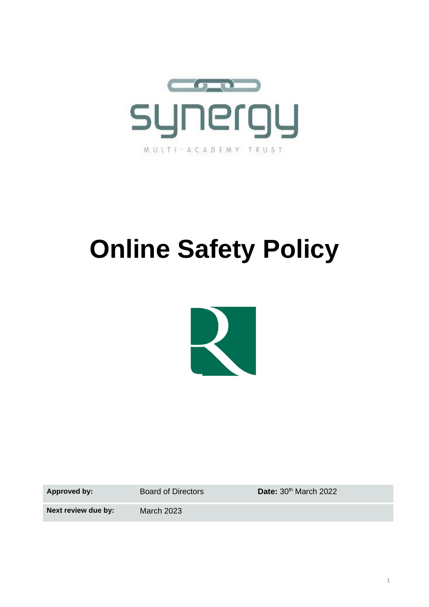

# **Online Safety Policy**



Approved by: Board of Directors **Date:** 30<sup>th</sup> March 2022

**Next review due by:** March 2023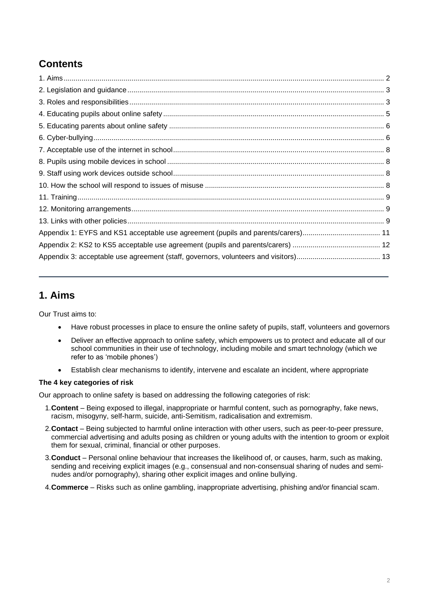# **Contents**

# <span id="page-1-0"></span>**1. Aims**

Our Trust aims to:

- Have robust processes in place to ensure the online safety of pupils, staff, volunteers and governors
- Deliver an effective approach to online safety, which empowers us to protect and educate all of our school communities in their use of technology, including mobile and smart technology (which we refer to as 'mobile phones')
- Establish clear mechanisms to identify, intervene and escalate an incident, where appropriate

## **The 4 key categories of risk**

Our approach to online safety is based on addressing the following categories of risk:

- 1.**Content** Being exposed to illegal, inappropriate or harmful content, such as pornography, fake news, racism, misogyny, self-harm, suicide, anti-Semitism, radicalisation and extremism.
- 2.**Contact** Being subjected to harmful online interaction with other users, such as peer-to-peer pressure, commercial advertising and adults posing as children or young adults with the intention to groom or exploit them for sexual, criminal, financial or other purposes.
- 3.**Conduct** Personal online behaviour that increases the likelihood of, or causes, harm, such as making, sending and receiving explicit images (e.g., consensual and non-consensual sharing of nudes and seminudes and/or pornography), sharing other explicit images and online bullying.
- 4.**Commerce** Risks such as online gambling, inappropriate advertising, phishing and/or financial scam.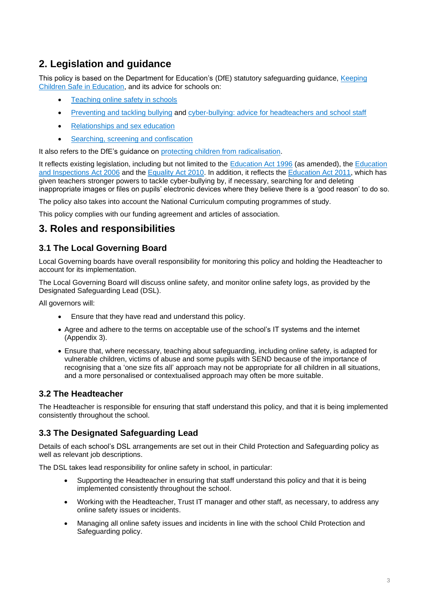# <span id="page-2-0"></span>**2. Legislation and guidance**

This policy is based on the Department for Education's (DfE) statutory safeguarding guidance, [Keeping](https://www.gov.uk/government/publications/keeping-children-safe-in-education--2)  [Children Safe in Education,](https://www.gov.uk/government/publications/keeping-children-safe-in-education--2) and its advice for schools on:

- [Teaching online safety in schools](https://www.gov.uk/government/publications/teaching-online-safety-in-schools)
- [Preventing and tackling bullying](https://www.gov.uk/government/publications/preventing-and-tackling-bullying) and [cyber-bullying: advice for headteachers and school staff](https://www.gov.uk/government/publications/preventing-and-tackling-bullying)
- [Relationships and sex education](https://www.gov.uk/government/publications/relationships-education-relationships-and-sex-education-rse-and-health-education)
- [Searching, screening and confiscation](https://www.gov.uk/government/publications/searching-screening-and-confiscation)

It also refers to the DfE's guidance on [protecting children from radicalisation.](https://www.gov.uk/government/publications/protecting-children-from-radicalisation-the-prevent-duty)

It reflects existing legislation, including but not limited to the [Education Act 1996](https://www.legislation.gov.uk/ukpga/1996/56/contents) (as amended), the [Education](https://www.legislation.gov.uk/ukpga/2006/40/contents)  [and Inspections Act 2006](https://www.legislation.gov.uk/ukpga/2006/40/contents) and the [Equality Act 2010.](https://www.legislation.gov.uk/ukpga/2010/15/contents) In addition, it reflects the [Education Act 2011,](http://www.legislation.gov.uk/ukpga/2011/21/contents/enacted) which has given teachers stronger powers to tackle cyber-bullying by, if necessary, searching for and deleting inappropriate images or files on pupils' electronic devices where they believe there is a 'good reason' to do so.

The policy also takes into account the National Curriculum computing programmes of study.

This policy complies with our funding agreement and articles of association.

## <span id="page-2-1"></span>**3. Roles and responsibilities**

## **3.1 The Local Governing Board**

Local Governing boards have overall responsibility for monitoring this policy and holding the Headteacher to account for its implementation.

The Local Governing Board will discuss online safety, and monitor online safety logs, as provided by the Designated Safeguarding Lead (DSL).

All governors will:

- Ensure that they have read and understand this policy.
- Agree and adhere to the terms on acceptable use of the school's IT systems and the internet (Appendix 3).
- Ensure that, where necessary, teaching about safeguarding, including online safety, is adapted for vulnerable children, victims of abuse and some pupils with SEND because of the importance of recognising that a 'one size fits all' approach may not be appropriate for all children in all situations, and a more personalised or contextualised approach may often be more suitable.

## **3.2 The Headteacher**

The Headteacher is responsible for ensuring that staff understand this policy, and that it is being implemented consistently throughout the school.

## **3.3 The Designated Safeguarding Lead**

Details of each school's DSL arrangements are set out in their Child Protection and Safeguarding policy as well as relevant job descriptions.

The DSL takes lead responsibility for online safety in school, in particular:

- Supporting the Headteacher in ensuring that staff understand this policy and that it is being implemented consistently throughout the school.
- Working with the Headteacher, Trust IT manager and other staff, as necessary, to address any online safety issues or incidents.
- Managing all online safety issues and incidents in line with the school Child Protection and Safeguarding policy.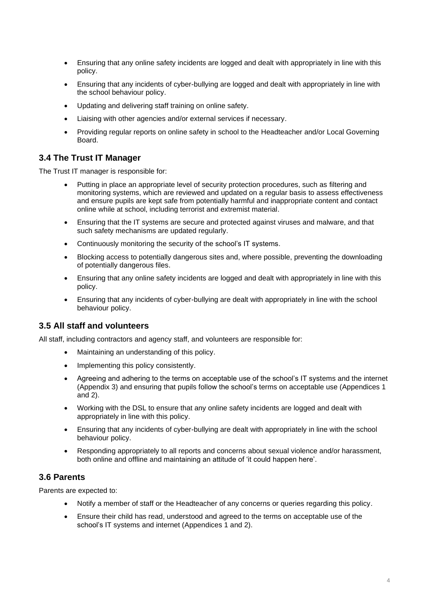- Ensuring that any online safety incidents are logged and dealt with appropriately in line with this policy.
- Ensuring that any incidents of cyber-bullying are logged and dealt with appropriately in line with the school behaviour policy.
- Updating and delivering staff training on online safety.
- Liaising with other agencies and/or external services if necessary.
- Providing regular reports on online safety in school to the Headteacher and/or Local Governing Board.

## **3.4 The Trust IT Manager**

The Trust IT manager is responsible for:

- Putting in place an appropriate level of security protection procedures, such as filtering and monitoring systems, which are reviewed and updated on a regular basis to assess effectiveness and ensure pupils are kept safe from potentially harmful and inappropriate content and contact online while at school, including terrorist and extremist material.
- Ensuring that the IT systems are secure and protected against viruses and malware, and that such safety mechanisms are updated regularly.
- Continuously monitoring the security of the school's IT systems.
- Blocking access to potentially dangerous sites and, where possible, preventing the downloading of potentially dangerous files.
- Ensuring that any online safety incidents are logged and dealt with appropriately in line with this policy.
- Ensuring that any incidents of cyber-bullying are dealt with appropriately in line with the school behaviour policy.

## **3.5 All staff and volunteers**

All staff, including contractors and agency staff, and volunteers are responsible for:

- Maintaining an understanding of this policy.
- Implementing this policy consistently.
- Agreeing and adhering to the terms on acceptable use of the school's IT systems and the internet (Appendix 3) and ensuring that pupils follow the school's terms on acceptable use (Appendices 1 and 2).
- Working with the DSL to ensure that any online safety incidents are logged and dealt with appropriately in line with this policy.
- Ensuring that any incidents of cyber-bullying are dealt with appropriately in line with the school behaviour policy.
- Responding appropriately to all reports and concerns about sexual violence and/or harassment, both online and offline and maintaining an attitude of 'it could happen here'.

## **3.6 Parents**

Parents are expected to:

- Notify a member of staff or the Headteacher of any concerns or queries regarding this policy.
- Ensure their child has read, understood and agreed to the terms on acceptable use of the school's IT systems and internet (Appendices 1 and 2).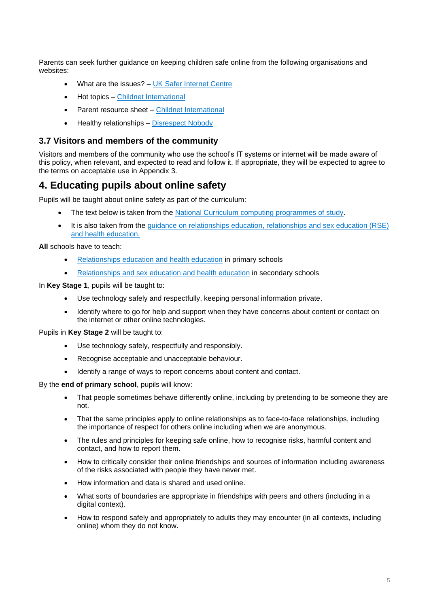Parents can seek further guidance on keeping children safe online from the following organisations and websites:

- What are the issues? [UK Safer Internet Centre](https://www.saferinternet.org.uk/advice-centre/parents-and-carers/what-are-issues)
- Hot topics [Childnet International](http://www.childnet.com/parents-and-carers/hot-topics)
- Parent resource sheet [Childnet International](https://www.childnet.com/resources/parents-and-carers-resource-sheet)
- Healthy relationships [Disrespect Nobody](https://www.disrespectnobody.co.uk/)

#### **3.7 Visitors and members of the community**

Visitors and members of the community who use the school's IT systems or internet will be made aware of this policy, when relevant, and expected to read and follow it. If appropriate, they will be expected to agree to the terms on acceptable use in Appendix 3.

## <span id="page-4-0"></span>**4. Educating pupils about online safety**

Pupils will be taught about online safety as part of the curriculum:

- The text below is taken from the [National Curriculum computing programmes of study.](https://www.gov.uk/government/publications/national-curriculum-in-england-computing-programmes-of-study/national-curriculum-in-england-computing-programmes-of-study)
- It is also taken from the [guidance on relationships education, relationships and sex education \(RSE\)](https://www.gov.uk/government/publications/relationships-education-relationships-and-sex-education-rse-and-health-education)  [and health education.](https://www.gov.uk/government/publications/relationships-education-relationships-and-sex-education-rse-and-health-education)

**All** schools have to teach:

- [Relationships education and health education](https://schoolleaders.thekeysupport.com/uid/8b76f587-7bf6-4994-abf0-43850c6e8d73/) in primary schools
- [Relationships and sex education and health education](https://schoolleaders.thekeysupport.com/uid/66a1d83e-2fb9-411e-91f1-fe52a09d16d1/) in secondary schools

In **Key Stage 1**, pupils will be taught to:

- Use technology safely and respectfully, keeping personal information private.
- Identify where to go for help and support when they have concerns about content or contact on the internet or other online technologies.

Pupils in **Key Stage 2** will be taught to:

- Use technology safely, respectfully and responsibly.
- Recognise acceptable and unacceptable behaviour.
- Identify a range of ways to report concerns about content and contact.

By the **end of primary school**, pupils will know:

- That people sometimes behave differently online, including by pretending to be someone they are not.
- That the same principles apply to online relationships as to face-to-face relationships, including the importance of respect for others online including when we are anonymous.
- The rules and principles for keeping safe online, how to recognise risks, harmful content and contact, and how to report them.
- How to critically consider their online friendships and sources of information including awareness of the risks associated with people they have never met.
- How information and data is shared and used online.
- What sorts of boundaries are appropriate in friendships with peers and others (including in a digital context).
- How to respond safely and appropriately to adults they may encounter (in all contexts, including online) whom they do not know.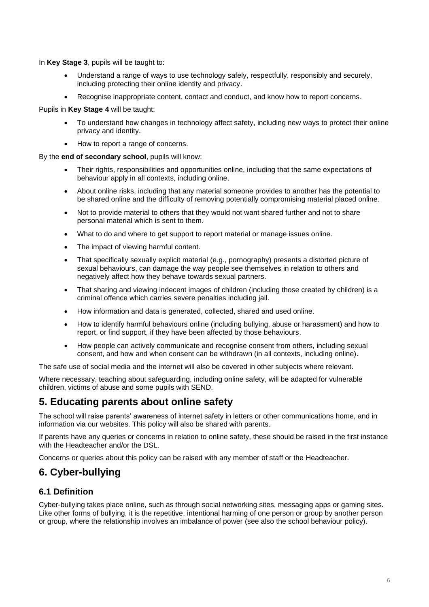In **Key Stage 3**, pupils will be taught to:

- Understand a range of ways to use technology safely, respectfully, responsibly and securely, including protecting their online identity and privacy.
- Recognise inappropriate content, contact and conduct, and know how to report concerns.

Pupils in **Key Stage 4** will be taught:

- To understand how changes in technology affect safety, including new ways to protect their online privacy and identity.
- How to report a range of concerns.

By the **end of secondary school**, pupils will know:

- Their rights, responsibilities and opportunities online, including that the same expectations of behaviour apply in all contexts, including online.
- About online risks, including that any material someone provides to another has the potential to be shared online and the difficulty of removing potentially compromising material placed online.
- Not to provide material to others that they would not want shared further and not to share personal material which is sent to them.
- What to do and where to get support to report material or manage issues online.
- The impact of viewing harmful content.
- That specifically sexually explicit material (e.g., pornography) presents a distorted picture of sexual behaviours, can damage the way people see themselves in relation to others and negatively affect how they behave towards sexual partners.
- That sharing and viewing indecent images of children (including those created by children) is a criminal offence which carries severe penalties including jail.
- How information and data is generated, collected, shared and used online.
- How to identify harmful behaviours online (including bullying, abuse or harassment) and how to report, or find support, if they have been affected by those behaviours.
- How people can actively communicate and recognise consent from others, including sexual consent, and how and when consent can be withdrawn (in all contexts, including online).

The safe use of social media and the internet will also be covered in other subjects where relevant.

Where necessary, teaching about safeguarding, including online safety, will be adapted for vulnerable children, victims of abuse and some pupils with SEND.

## <span id="page-5-0"></span>**5. Educating parents about online safety**

The school will raise parents' awareness of internet safety in letters or other communications home, and in information via our websites. This policy will also be shared with parents.

If parents have any queries or concerns in relation to online safety, these should be raised in the first instance with the Headteacher and/or the DSL.

Concerns or queries about this policy can be raised with any member of staff or the Headteacher.

# <span id="page-5-1"></span>**6. Cyber-bullying**

## **6.1 Definition**

Cyber-bullying takes place online, such as through social networking sites, messaging apps or gaming sites. Like other forms of bullying, it is the repetitive, intentional harming of one person or group by another person or group, where the relationship involves an imbalance of power (see also the school behaviour policy).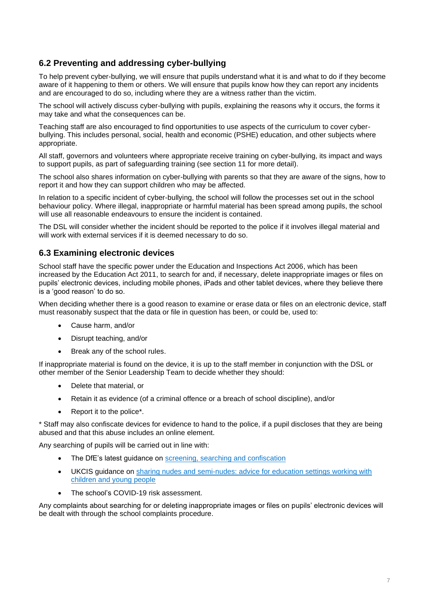## **6.2 Preventing and addressing cyber-bullying**

To help prevent cyber-bullying, we will ensure that pupils understand what it is and what to do if they become aware of it happening to them or others. We will ensure that pupils know how they can report any incidents and are encouraged to do so, including where they are a witness rather than the victim.

The school will actively discuss cyber-bullying with pupils, explaining the reasons why it occurs, the forms it may take and what the consequences can be.

Teaching staff are also encouraged to find opportunities to use aspects of the curriculum to cover cyberbullying. This includes personal, social, health and economic (PSHE) education, and other subjects where appropriate.

All staff, governors and volunteers where appropriate receive training on cyber-bullying, its impact and ways to support pupils, as part of safeguarding training (see section 11 for more detail).

The school also shares information on cyber-bullying with parents so that they are aware of the signs, how to report it and how they can support children who may be affected.

In relation to a specific incident of cyber-bullying, the school will follow the processes set out in the school behaviour policy. Where illegal, inappropriate or harmful material has been spread among pupils, the school will use all reasonable endeavours to ensure the incident is contained.

The DSL will consider whether the incident should be reported to the police if it involves illegal material and will work with external services if it is deemed necessary to do so.

## **6.3 Examining electronic devices**

School staff have the specific power under the Education and Inspections Act 2006, which has been increased by the Education Act 2011, to search for and, if necessary, delete inappropriate images or files on pupils' electronic devices, including mobile phones, iPads and other tablet devices, where they believe there is a 'good reason' to do so.

When deciding whether there is a good reason to examine or erase data or files on an electronic device, staff must reasonably suspect that the data or file in question has been, or could be, used to:

- Cause harm, and/or
- Disrupt teaching, and/or
- Break any of the school rules.

If inappropriate material is found on the device, it is up to the staff member in conjunction with the DSL or other member of the Senior Leadership Team to decide whether they should:

- Delete that material, or
- Retain it as evidence (of a criminal offence or a breach of school discipline), and/or
- Report it to the police\*.

\* Staff may also confiscate devices for evidence to hand to the police, if a pupil discloses that they are being abused and that this abuse includes an online element.

Any searching of pupils will be carried out in line with:

- The DfE's latest guidance on [screening, searching and confiscation](https://www.gov.uk/government/publications/searching-screening-and-confiscation)
- UKCIS guidance on [sharing nudes and semi-nudes: advice for education settings working with](https://www.gov.uk/government/publications/sharing-nudes-and-semi-nudes-advice-for-education-settings-working-with-children-and-young-people)  [children and young people](https://www.gov.uk/government/publications/sharing-nudes-and-semi-nudes-advice-for-education-settings-working-with-children-and-young-people)
- The school's COVID-19 risk assessment.

Any complaints about searching for or deleting inappropriate images or files on pupils' electronic devices will be dealt with through the school complaints procedure.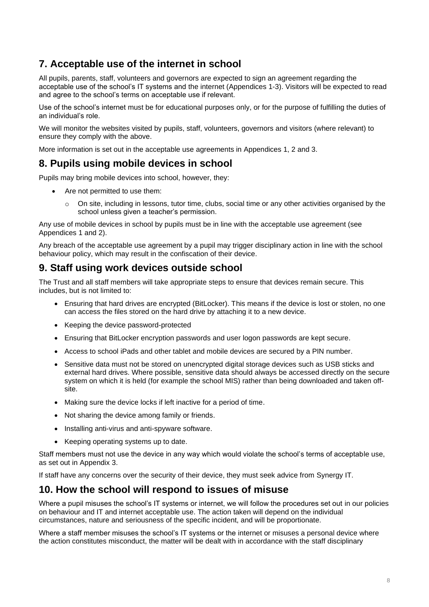# <span id="page-7-0"></span>**7. Acceptable use of the internet in school**

All pupils, parents, staff, volunteers and governors are expected to sign an agreement regarding the acceptable use of the school's IT systems and the internet (Appendices 1-3). Visitors will be expected to read and agree to the school's terms on acceptable use if relevant.

Use of the school's internet must be for educational purposes only, or for the purpose of fulfilling the duties of an individual's role.

We will monitor the websites visited by pupils, staff, volunteers, governors and visitors (where relevant) to ensure they comply with the above.

More information is set out in the acceptable use agreements in Appendices 1, 2 and 3.

## <span id="page-7-1"></span>**8. Pupils using mobile devices in school**

Pupils may bring mobile devices into school, however, they:

- Are not permitted to use them:
	- $\circ$  On site, including in lessons, tutor time, clubs, social time or any other activities organised by the school unless given a teacher's permission.

Any use of mobile devices in school by pupils must be in line with the acceptable use agreement (see Appendices 1 and 2).

Any breach of the acceptable use agreement by a pupil may trigger disciplinary action in line with the school behaviour policy, which may result in the confiscation of their device.

# <span id="page-7-2"></span>**9. Staff using work devices outside school**

The Trust and all staff members will take appropriate steps to ensure that devices remain secure. This includes, but is not limited to:

- Ensuring that hard drives are encrypted (BitLocker). This means if the device is lost or stolen, no one can access the files stored on the hard drive by attaching it to a new device.
- Keeping the device password-protected
- Ensuring that BitLocker encryption passwords and user logon passwords are kept secure.
- Access to school iPads and other tablet and mobile devices are secured by a PIN number.
- Sensitive data must not be stored on unencrypted digital storage devices such as USB sticks and external hard drives. Where possible, sensitive data should always be accessed directly on the secure system on which it is held (for example the school MIS) rather than being downloaded and taken offsite.
- Making sure the device locks if left inactive for a period of time.
- Not sharing the device among family or friends.
- Installing anti-virus and anti-spyware software.
- Keeping operating systems up to date.

Staff members must not use the device in any way which would violate the school's terms of acceptable use, as set out in Appendix 3.

If staff have any concerns over the security of their device, they must seek advice from Synergy IT.

## <span id="page-7-3"></span>**10. How the school will respond to issues of misuse**

Where a pupil misuses the school's IT systems or internet, we will follow the procedures set out in our policies on behaviour and IT and internet acceptable use. The action taken will depend on the individual circumstances, nature and seriousness of the specific incident, and will be proportionate.

Where a staff member misuses the school's IT systems or the internet or misuses a personal device where the action constitutes misconduct, the matter will be dealt with in accordance with the staff disciplinary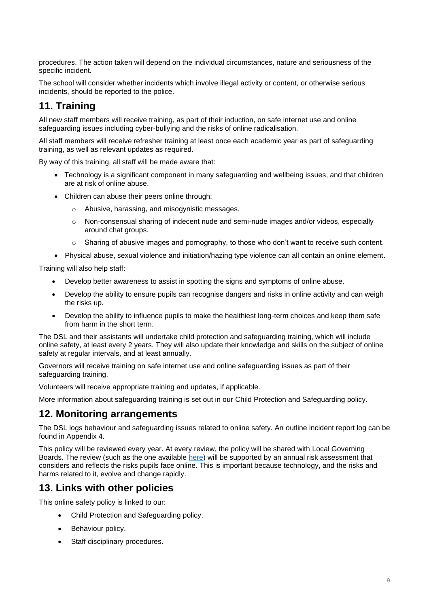procedures. The action taken will depend on the individual circumstances, nature and seriousness of the specific incident.

The school will consider whether incidents which involve illegal activity or content, or otherwise serious incidents, should be reported to the police.

# <span id="page-8-0"></span>**11. Training**

All new staff members will receive training, as part of their induction, on safe internet use and online safeguarding issues including cyber-bullying and the risks of online radicalisation.

All staff members will receive refresher training at least once each academic year as part of safeguarding training, as well as relevant updates as required.

By way of this training, all staff will be made aware that:

- Technology is a significant component in many safeguarding and wellbeing issues, and that children are at risk of online abuse.
- Children can abuse their peers online through:
	- o Abusive, harassing, and misogynistic messages.
	- o Non-consensual sharing of indecent nude and semi-nude images and/or videos, especially around chat groups.
	- Sharing of abusive images and pornography, to those who don't want to receive such content.
- Physical abuse, sexual violence and initiation/hazing type violence can all contain an online element.

Training will also help staff:

- Develop better awareness to assist in spotting the signs and symptoms of online abuse.
- Develop the ability to ensure pupils can recognise dangers and risks in online activity and can weigh the risks up.
- Develop the ability to influence pupils to make the healthiest long-term choices and keep them safe from harm in the short term.

The DSL and their assistants will undertake child protection and safeguarding training, which will include online safety, at least every 2 years. They will also update their knowledge and skills on the subject of online safety at regular intervals, and at least annually.

Governors will receive training on safe internet use and online safeguarding issues as part of their safeguarding training.

Volunteers will receive appropriate training and updates, if applicable.

More information about safeguarding training is set out in our Child Protection and Safeguarding policy.

## <span id="page-8-1"></span>**12. Monitoring arrangements**

The DSL logs behaviour and safeguarding issues related to online safety. An outline incident report log can be found in Appendix 4.

This policy will be reviewed every year. At every review, the policy will be shared with Local Governing Boards. The review (such as the one available [here\)](https://360safe.org.uk/) will be supported by an annual risk assessment that considers and reflects the risks pupils face online. This is important because technology, and the risks and harms related to it, evolve and change rapidly.

## <span id="page-8-2"></span>**13. Links with other policies**

This online safety policy is linked to our:

- Child Protection and Safeguarding policy.
- Behaviour policy.
- Staff disciplinary procedures.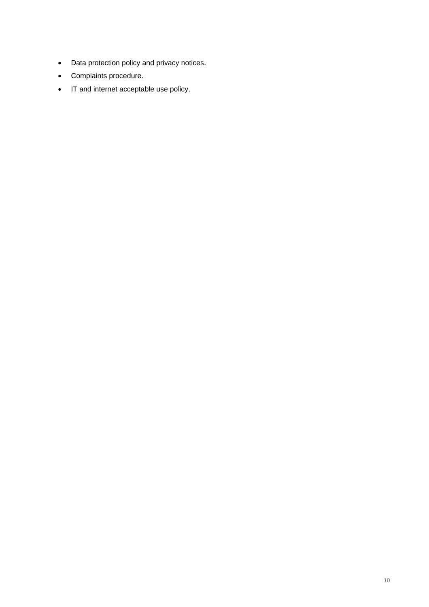- Data protection policy and privacy notices.
- Complaints procedure.
- IT and internet acceptable use policy.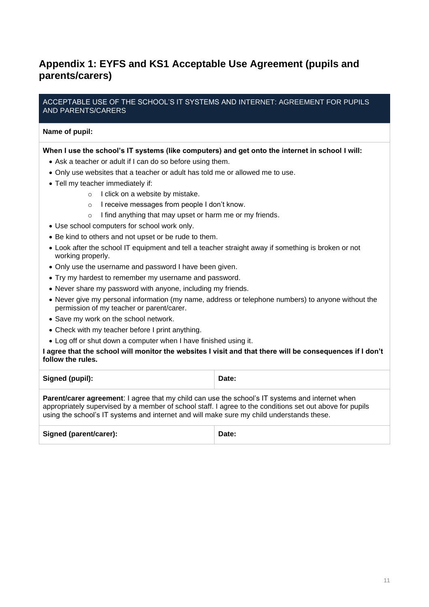# <span id="page-10-0"></span>**Appendix 1: EYFS and KS1 Acceptable Use Agreement (pupils and parents/carers)**

#### ACCEPTABLE USE OF THE SCHOOL'S IT SYSTEMS AND INTERNET: AGREEMENT FOR PUPILS AND PARENTS/CARERS

#### **Name of pupil:**

#### **When I use the school's IT systems (like computers) and get onto the internet in school I will:**

- Ask a teacher or adult if I can do so before using them.
- Only use websites that a teacher or adult has told me or allowed me to use.
- Tell my teacher immediately if:
	- o I click on a website by mistake.
	- o I receive messages from people I don't know.
	- o I find anything that may upset or harm me or my friends.
- Use school computers for school work only.
- Be kind to others and not upset or be rude to them.
- Look after the school IT equipment and tell a teacher straight away if something is broken or not working properly.
- Only use the username and password I have been given.
- Try my hardest to remember my username and password.
- Never share my password with anyone, including my friends.
- Never give my personal information (my name, address or telephone numbers) to anyone without the permission of my teacher or parent/carer.
- Save my work on the school network.
- Check with my teacher before I print anything.
- Log off or shut down a computer when I have finished using it.

**I agree that the school will monitor the websites I visit and that there will be consequences if I don't follow the rules.**

| Signed (pupil): | Date: |
|-----------------|-------|
|                 |       |

**Parent/carer agreement**: I agree that my child can use the school's IT systems and internet when appropriately supervised by a member of school staff. I agree to the conditions set out above for pupils using the school's IT systems and internet and will make sure my child understands these.

| Signed (parent/carer):<br>Date: |  |
|---------------------------------|--|
|---------------------------------|--|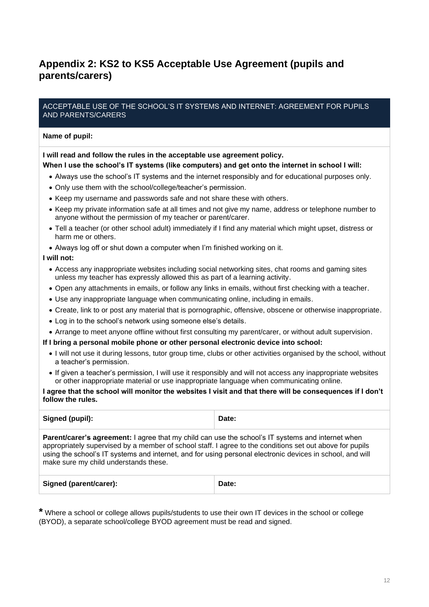# <span id="page-11-0"></span>**Appendix 2: KS2 to KS5 Acceptable Use Agreement (pupils and parents/carers)**

#### ACCEPTABLE USE OF THE SCHOOL'S IT SYSTEMS AND INTERNET: AGREEMENT FOR PUPILS AND PARENTS/CARERS

#### **Name of pupil:**

#### **I will read and follow the rules in the acceptable use agreement policy.**

#### **When I use the school's IT systems (like computers) and get onto the internet in school I will:**

- Always use the school's IT systems and the internet responsibly and for educational purposes only.
- Only use them with the school/college/teacher's permission.
- Keep my username and passwords safe and not share these with others.
- Keep my private information safe at all times and not give my name, address or telephone number to anyone without the permission of my teacher or parent/carer.
- Tell a teacher (or other school adult) immediately if I find any material which might upset, distress or harm me or others.
- Always log off or shut down a computer when I'm finished working on it.

#### **I will not:**

- Access any inappropriate websites including social networking sites, chat rooms and gaming sites unless my teacher has expressly allowed this as part of a learning activity.
- Open any attachments in emails, or follow any links in emails, without first checking with a teacher.
- Use any inappropriate language when communicating online, including in emails.
- Create, link to or post any material that is pornographic, offensive, obscene or otherwise inappropriate.
- Log in to the school's network using someone else's details.
- Arrange to meet anyone offline without first consulting my parent/carer, or without adult supervision.

#### **If I bring a personal mobile phone or other personal electronic device into school:**

- I will not use it during lessons, tutor group time, clubs or other activities organised by the school, without a teacher's permission.
- If given a teacher's permission, I will use it responsibly and will not access any inappropriate websites or other inappropriate material or use inappropriate language when communicating online.

#### **I agree that the school will monitor the websites I visit and that there will be consequences if I don't follow the rules.**

| Signed (pupil):                                                                                                                                                                                                                                                                                                                                                            | Date: |  |  |  |
|----------------------------------------------------------------------------------------------------------------------------------------------------------------------------------------------------------------------------------------------------------------------------------------------------------------------------------------------------------------------------|-------|--|--|--|
| <b>Parent/carer's agreement:</b> I agree that my child can use the school's IT systems and internet when<br>appropriately supervised by a member of school staff. I agree to the conditions set out above for pupils<br>using the school's IT systems and internet, and for using personal electronic devices in school, and will<br>make sure my child understands these. |       |  |  |  |
| Signed (parent/carer):                                                                                                                                                                                                                                                                                                                                                     | Date: |  |  |  |

<span id="page-11-1"></span>**\*** Where a school or college allows pupils/students to use their own IT devices in the school or college (BYOD), a separate school/college BYOD agreement must be read and signed.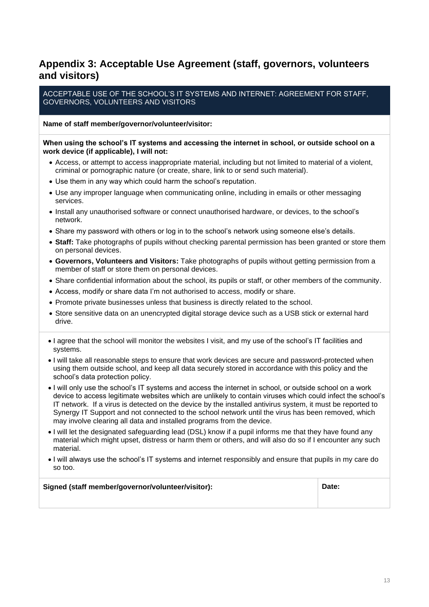# **Appendix 3: Acceptable Use Agreement (staff, governors, volunteers and visitors)**

ACCEPTABLE USE OF THE SCHOOL'S IT SYSTEMS AND INTERNET: AGREEMENT FOR STAFF, GOVERNORS, VOLUNTEERS AND VISITORS

#### **Name of staff member/governor/volunteer/visitor:**

#### **When using the school's IT systems and accessing the internet in school, or outside school on a work device (if applicable), I will not:**

- Access, or attempt to access inappropriate material, including but not limited to material of a violent, criminal or pornographic nature (or create, share, link to or send such material).
- Use them in any way which could harm the school's reputation.
- Use any improper language when communicating online, including in emails or other messaging services.
- Install any unauthorised software or connect unauthorised hardware, or devices, to the school's network.
- Share my password with others or log in to the school's network using someone else's details.
- **Staff:** Take photographs of pupils without checking parental permission has been granted or store them on personal devices.
- **Governors, Volunteers and Visitors:** Take photographs of pupils without getting permission from a member of staff or store them on personal devices.
- Share confidential information about the school, its pupils or staff, or other members of the community.
- Access, modify or share data I'm not authorised to access, modify or share.
- Promote private businesses unless that business is directly related to the school.
- Store sensitive data on an unencrypted digital storage device such as a USB stick or external hard drive.
- I agree that the school will monitor the websites I visit, and my use of the school's IT facilities and systems.
- I will take all reasonable steps to ensure that work devices are secure and password-protected when using them outside school, and keep all data securely stored in accordance with this policy and the school's data protection policy.
- I will only use the school's IT systems and access the internet in school, or outside school on a work device to access legitimate websites which are unlikely to contain viruses which could infect the school's IT network. If a virus is detected on the device by the installed antivirus system, it must be reported to Synergy IT Support and not connected to the school network until the virus has been removed, which may involve clearing all data and installed programs from the device.
- I will let the designated safeguarding lead (DSL) know if a pupil informs me that they have found any material which might upset, distress or harm them or others, and will also do so if I encounter any such material.
- I will always use the school's IT systems and internet responsibly and ensure that pupils in my care do so too.

| Signed (staff member/governor/volunteer/visitor):<br>Date: |  |
|------------------------------------------------------------|--|